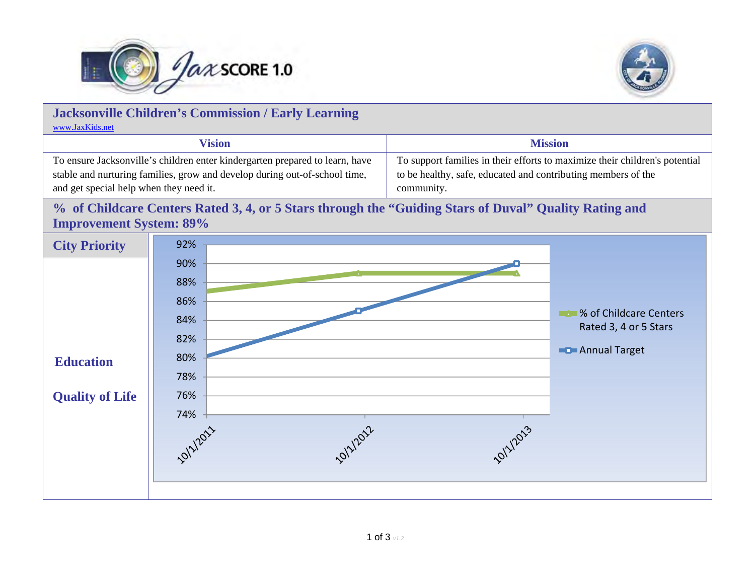



| <b>Jacksonville Children's Commission / Early Learning</b><br>www.JaxKids.net                                                                                                                         |                                                                                            |                                                                                                                                                            |                                                                                    |
|-------------------------------------------------------------------------------------------------------------------------------------------------------------------------------------------------------|--------------------------------------------------------------------------------------------|------------------------------------------------------------------------------------------------------------------------------------------------------------|------------------------------------------------------------------------------------|
| <b>Vision</b>                                                                                                                                                                                         |                                                                                            | <b>Mission</b>                                                                                                                                             |                                                                                    |
| To ensure Jacksonville's children enter kindergarten prepared to learn, have<br>stable and nurturing families, grow and develop during out-of-school time,<br>and get special help when they need it. |                                                                                            | To support families in their efforts to maximize their children's potential<br>to be healthy, safe, educated and contributing members of the<br>community. |                                                                                    |
| % of Childcare Centers Rated 3, 4, or 5 Stars through the "Guiding Stars of Duval" Quality Rating and<br><b>Improvement System: 89%</b>                                                               |                                                                                            |                                                                                                                                                            |                                                                                    |
| <b>City Priority</b>                                                                                                                                                                                  | 92%                                                                                        |                                                                                                                                                            |                                                                                    |
| <b>Education</b><br><b>Quality of Life</b>                                                                                                                                                            | 90%<br>88%<br>86%<br>84%<br>82%<br>80%<br>78%<br>76%<br>74%<br><b>POILIZOS</b><br>OIZI2014 |                                                                                                                                                            | ■% of Childcare Centers<br>Rated 3, 4 or 5 Stars<br><b>Example 2</b> Annual Target |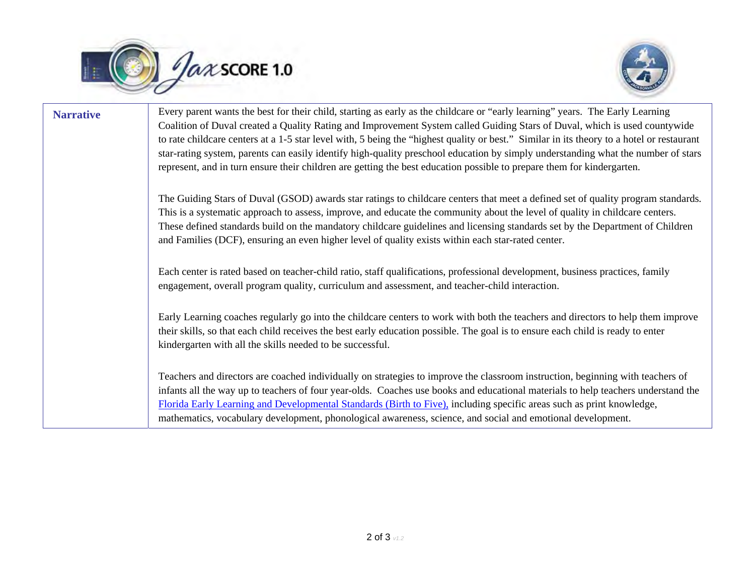



**Narrative** Every parent wants the best for their child, starting as early as the childcare or "early learning" years. The Early Learning Coalition of Duval created a Quality Rating and Improvement System called Guiding Stars of Duval, which is used countywide to rate childcare centers at a 1-5 star level with, 5 being the "highest quality or best." Similar in its theory to a hotel or restaurant star-rating system, parents can easily identify high-quality preschool education by simply understanding what the number of stars represent, and in turn ensure their children are getting the best education possible to prepare them for kindergarten. The Guiding Stars of Duval (GSOD) awards star ratings to childcare centers that meet a defined set of quality program standards. This is a systematic approach to assess, improve, and educate the community about the level of quality in childcare centers. These defined standards build on the mandatory childcare guidelines and licensing standards set by the Department of Children and Families (DCF), ensuring an even higher level of quality exists within each star-rated center. Each center is rated based on teacher-child ratio, staff qualifications, professional development, business practices, family engagement, overall program quality, curriculum and assessment, and teacher-child interaction. Early Learning coaches regularly go into the childcare centers to work with both the teachers and directors to help them improve their skills, so that each child receives the best early education possible. The goal is to ensure each child is ready to enter kindergarten with all the skills needed to be successful. Teachers and directors are coached individually on strategies to improve the classroom instruction, beginning with teachers of infants all the way up to teachers of four year-olds. Coaches use books and educational materials to help teachers understand the [Florida Early Learning and Developmental Standards \(Birth to Five\),](http://www.floridaearlylearning.com/parents/parent_resources/floridas_early_learning_and_development_standards_birth_to_five.aspx) including specific areas such as print knowledge, mathematics, vocabulary development, phonological awareness, science, and social and emotional development.